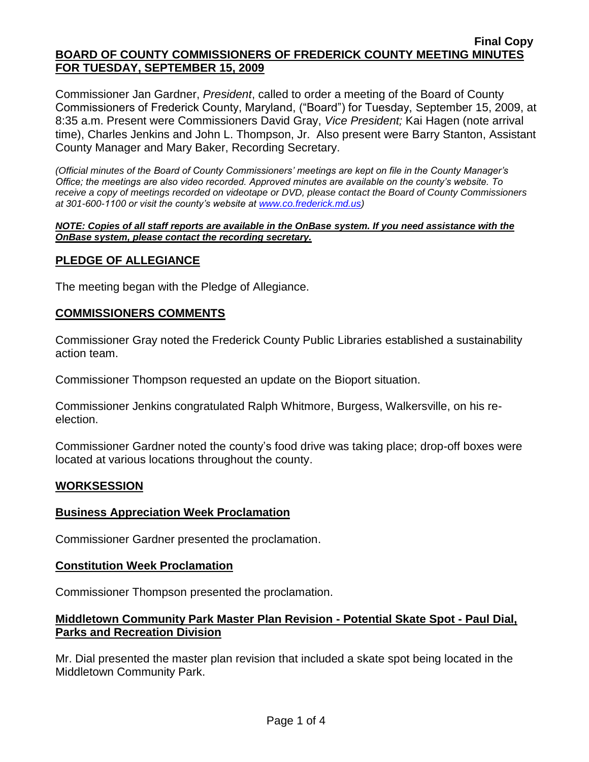### **Final Copy BOARD OF COUNTY COMMISSIONERS OF FREDERICK COUNTY MEETING MINUTES FOR TUESDAY, SEPTEMBER 15, 2009**

Commissioner Jan Gardner, *President*, called to order a meeting of the Board of County Commissioners of Frederick County, Maryland, ("Board") for Tuesday, September 15, 2009, at 8:35 a.m. Present were Commissioners David Gray, *Vice President;* Kai Hagen (note arrival time), Charles Jenkins and John L. Thompson, Jr. Also present were Barry Stanton, Assistant County Manager and Mary Baker, Recording Secretary.

*(Official minutes of the Board of County Commissioners' meetings are kept on file in the County Manager's Office; the meetings are also video recorded. Approved minutes are available on the county's website. To receive a copy of meetings recorded on videotape or DVD, please contact the Board of County Commissioners at 301-600-1100 or visit the county's website at [www.co.frederick.md.us\)](http://www.co.frederick.md.us/)*

#### *NOTE: Copies of all staff reports are available in the OnBase system. If you need assistance with the OnBase system, please contact the recording secretary.*

## **PLEDGE OF ALLEGIANCE**

The meeting began with the Pledge of Allegiance.

### **COMMISSIONERS COMMENTS**

Commissioner Gray noted the Frederick County Public Libraries established a sustainability action team.

Commissioner Thompson requested an update on the Bioport situation.

Commissioner Jenkins congratulated Ralph Whitmore, Burgess, Walkersville, on his reelection.

Commissioner Gardner noted the county's food drive was taking place; drop-off boxes were located at various locations throughout the county.

### **WORKSESSION**

### **Business Appreciation Week Proclamation**

Commissioner Gardner presented the proclamation.

### **Constitution Week Proclamation**

Commissioner Thompson presented the proclamation.

## **Middletown Community Park Master Plan Revision - Potential Skate Spot - Paul Dial, Parks and Recreation Division**

Mr. Dial presented the master plan revision that included a skate spot being located in the Middletown Community Park.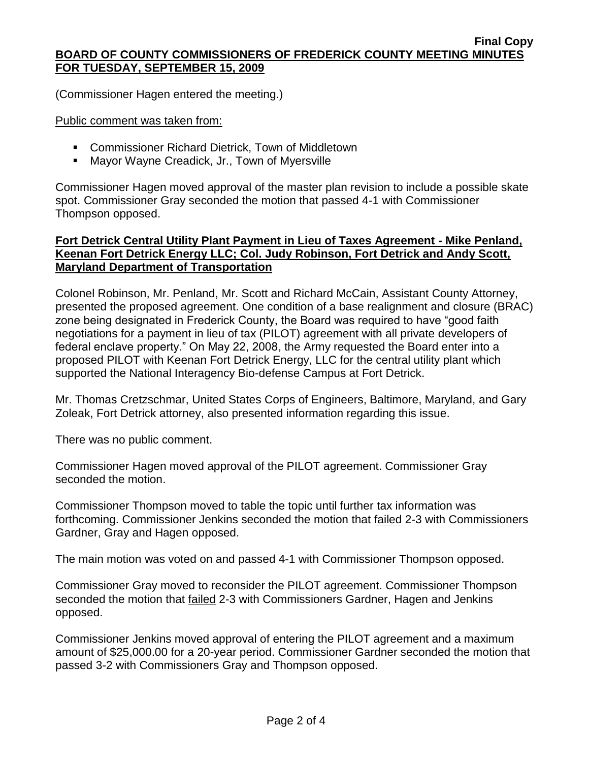(Commissioner Hagen entered the meeting.)

Public comment was taken from:

- Commissioner Richard Dietrick, Town of Middletown
- **Mayor Wayne Creadick, Jr., Town of Myersville**

Commissioner Hagen moved approval of the master plan revision to include a possible skate spot. Commissioner Gray seconded the motion that passed 4-1 with Commissioner Thompson opposed.

# **Fort Detrick Central Utility Plant Payment in Lieu of Taxes Agreement - Mike Penland, Keenan Fort Detrick Energy LLC; Col. Judy Robinson, Fort Detrick and Andy Scott, Maryland Department of Transportation**

Colonel Robinson, Mr. Penland, Mr. Scott and Richard McCain, Assistant County Attorney, presented the proposed agreement. One condition of a base realignment and closure (BRAC) zone being designated in Frederick County, the Board was required to have "good faith negotiations for a payment in lieu of tax (PILOT) agreement with all private developers of federal enclave property." On May 22, 2008, the Army requested the Board enter into a proposed PILOT with Keenan Fort Detrick Energy, LLC for the central utility plant which supported the National Interagency Bio-defense Campus at Fort Detrick.

Mr. Thomas Cretzschmar, United States Corps of Engineers, Baltimore, Maryland, and Gary Zoleak, Fort Detrick attorney, also presented information regarding this issue.

There was no public comment.

Commissioner Hagen moved approval of the PILOT agreement. Commissioner Gray seconded the motion.

Commissioner Thompson moved to table the topic until further tax information was forthcoming. Commissioner Jenkins seconded the motion that failed 2-3 with Commissioners Gardner, Gray and Hagen opposed.

The main motion was voted on and passed 4-1 with Commissioner Thompson opposed.

Commissioner Gray moved to reconsider the PILOT agreement. Commissioner Thompson seconded the motion that failed 2-3 with Commissioners Gardner, Hagen and Jenkins opposed.

Commissioner Jenkins moved approval of entering the PILOT agreement and a maximum amount of \$25,000.00 for a 20-year period. Commissioner Gardner seconded the motion that passed 3-2 with Commissioners Gray and Thompson opposed.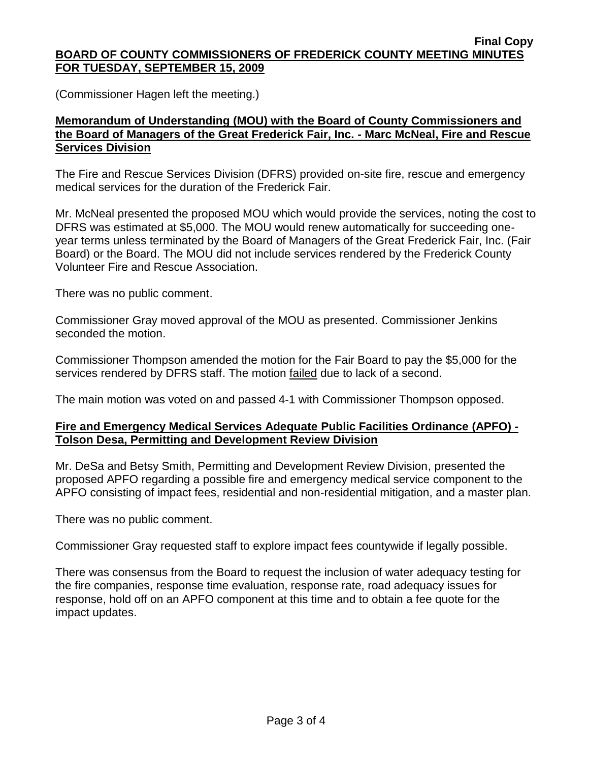#### **Final Copy BOARD OF COUNTY COMMISSIONERS OF FREDERICK COUNTY MEETING MINUTES FOR TUESDAY, SEPTEMBER 15, 2009**

(Commissioner Hagen left the meeting.)

# **Memorandum of Understanding (MOU) with the Board of County Commissioners and the Board of Managers of the Great Frederick Fair, Inc. - Marc McNeal, Fire and Rescue Services Division**

The Fire and Rescue Services Division (DFRS) provided on-site fire, rescue and emergency medical services for the duration of the Frederick Fair.

Mr. McNeal presented the proposed MOU which would provide the services, noting the cost to DFRS was estimated at \$5,000. The MOU would renew automatically for succeeding oneyear terms unless terminated by the Board of Managers of the Great Frederick Fair, Inc. (Fair Board) or the Board. The MOU did not include services rendered by the Frederick County Volunteer Fire and Rescue Association.

There was no public comment.

Commissioner Gray moved approval of the MOU as presented. Commissioner Jenkins seconded the motion.

Commissioner Thompson amended the motion for the Fair Board to pay the \$5,000 for the services rendered by DFRS staff. The motion failed due to lack of a second.

The main motion was voted on and passed 4-1 with Commissioner Thompson opposed.

## **Fire and Emergency Medical Services Adequate Public Facilities Ordinance (APFO) - Tolson Desa, Permitting and Development Review Division**

Mr. DeSa and Betsy Smith, Permitting and Development Review Division, presented the proposed APFO regarding a possible fire and emergency medical service component to the APFO consisting of impact fees, residential and non-residential mitigation, and a master plan.

There was no public comment.

Commissioner Gray requested staff to explore impact fees countywide if legally possible.

There was consensus from the Board to request the inclusion of water adequacy testing for the fire companies, response time evaluation, response rate, road adequacy issues for response, hold off on an APFO component at this time and to obtain a fee quote for the impact updates.